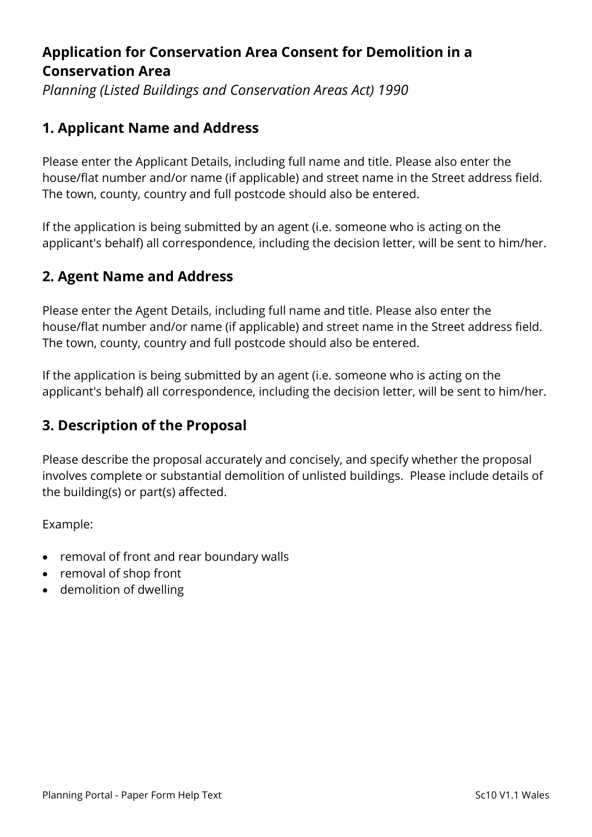# **Application for Conservation Area Consent for Demolition in a Conservation Area**

*Planning (Listed Buildings and Conservation Areas Act) 1990*

# **1. Applicant Name and Address**

Please enter the Applicant Details, including full name and title. Please also enter the house/flat number and/or name (if applicable) and street name in the Street address field. The town, county, country and full postcode should also be entered.

If the application is being submitted by an agent (i.e. someone who is acting on the applicant's behalf) all correspondence, including the decision letter, will be sent to him/her.

# **2. Agent Name and Address**

Please enter the Agent Details, including full name and title. Please also enter the house/flat number and/or name (if applicable) and street name in the Street address field. The town, county, country and full postcode should also be entered.

If the application is being submitted by an agent (i.e. someone who is acting on the applicant's behalf) all correspondence, including the decision letter, will be sent to him/her.

## **3. Description of the Proposal**

Please describe the proposal accurately and concisely, and specify whether the proposal involves complete or substantial demolition of unlisted buildings. Please include details of the building(s) or part(s) affected.

Example:

- removal of front and rear boundary walls
- removal of shop front
- demolition of dwelling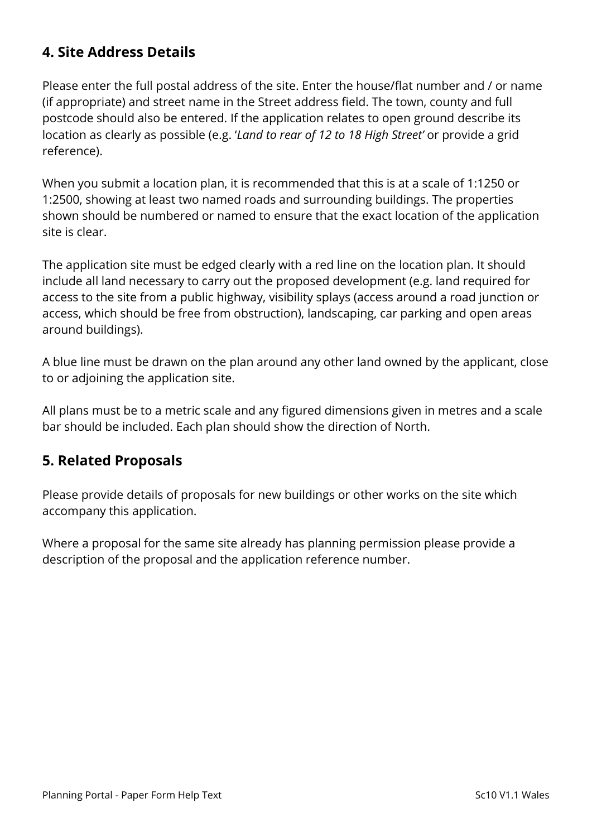# **4. Site Address Details**

Please enter the full postal address of the site. Enter the house/flat number and / or name (if appropriate) and street name in the Street address field. The town, county and full postcode should also be entered. If the application relates to open ground describe its location as clearly as possible (e.g. '*Land to rear of 12 to 18 High Street'* or provide a grid reference).

When you submit a location plan, it is recommended that this is at a scale of 1:1250 or 1:2500, showing at least two named roads and surrounding buildings. The properties shown should be numbered or named to ensure that the exact location of the application site is clear.

The application site must be edged clearly with a red line on the location plan. It should include all land necessary to carry out the proposed development (e.g. land required for access to the site from a public highway, visibility splays (access around a road junction or access, which should be free from obstruction), landscaping, car parking and open areas around buildings).

A blue line must be drawn on the plan around any other land owned by the applicant, close to or adjoining the application site.

All plans must be to a metric scale and any figured dimensions given in metres and a scale bar should be included. Each plan should show the direction of North.

#### **5. Related Proposals**

Please provide details of proposals for new buildings or other works on the site which accompany this application.

Where a proposal for the same site already has planning permission please provide a description of the proposal and the application reference number.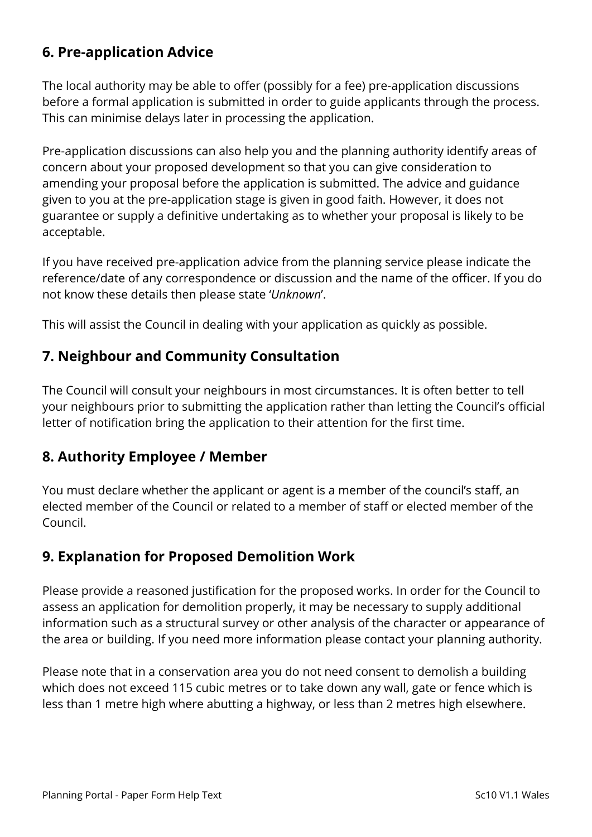# **6. Pre-application Advice**

The local authority may be able to offer (possibly for a fee) pre-application discussions before a formal application is submitted in order to guide applicants through the process. This can minimise delays later in processing the application.

Pre-application discussions can also help you and the planning authority identify areas of concern about your proposed development so that you can give consideration to amending your proposal before the application is submitted. The advice and guidance given to you at the pre-application stage is given in good faith. However, it does not guarantee or supply a definitive undertaking as to whether your proposal is likely to be acceptable.

If you have received pre-application advice from the planning service please indicate the reference/date of any correspondence or discussion and the name of the officer. If you do not know these details then please state '*Unknown*'.

This will assist the Council in dealing with your application as quickly as possible.

# **7. Neighbour and Community Consultation**

The Council will consult your neighbours in most circumstances. It is often better to tell your neighbours prior to submitting the application rather than letting the Council's official letter of notification bring the application to their attention for the first time.

#### **8. Authority Employee / Member**

You must declare whether the applicant or agent is a member of the council's staff, an elected member of the Council or related to a member of staff or elected member of the Council.

## **9. Explanation for Proposed Demolition Work**

Please provide a reasoned justification for the proposed works. In order for the Council to assess an application for demolition properly, it may be necessary to supply additional information such as a structural survey or other analysis of the character or appearance of the area or building. If you need more information please contact your planning authority.

Please note that in a conservation area you do not need consent to demolish a building which does not exceed 115 cubic metres or to take down any wall, gate or fence which is less than 1 metre high where abutting a highway, or less than 2 metres high elsewhere.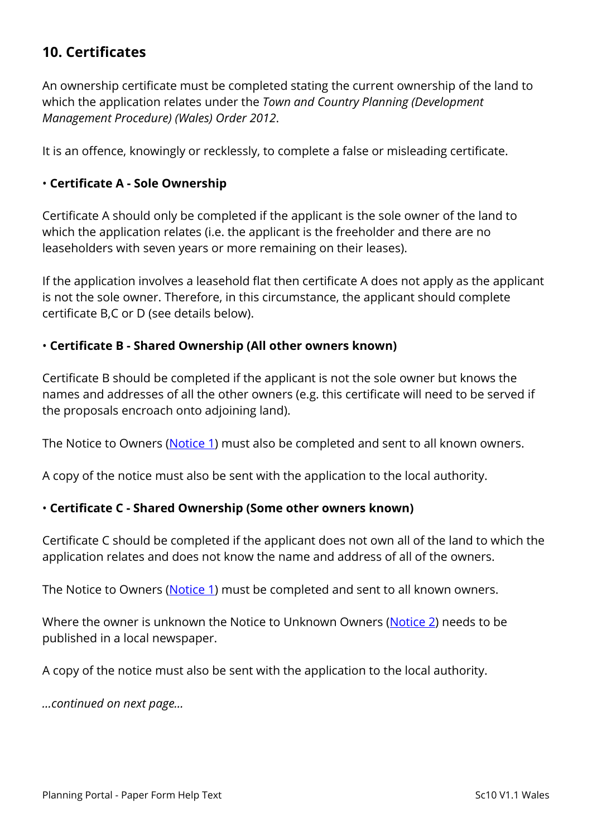# **10. Certificates**

An ownership certificate must be completed stating the current ownership of the land to which the application relates under the *Town and Country Planning (Development Management Procedure) (Wales) Order 2012*.

It is an offence, knowingly or recklessly, to complete a false or misleading certificate.

#### • **Certificate A - Sole Ownership**

Certificate A should only be completed if the applicant is the sole owner of the land to which the application relates (i.e. the applicant is the freeholder and there are no leaseholders with seven years or more remaining on their leases).

If the application involves a leasehold flat then certificate A does not apply as the applicant is not the sole owner. Therefore, in this circumstance, the applicant should complete certificate B,C or D (see details below).

#### • **Certificate B - Shared Ownership (All other owners known)**

Certificate B should be completed if the applicant is not the sole owner but knows the names and addresses of all the other owners (e.g. this certificate will need to be served if the proposals encroach onto adjoining land).

The Notice to Owners [\(Notice 1\)](https://ecab.planningportal.co.uk/uploads/1app/notices/notice1_wales.pdf) must also be completed and sent to all known owners.

A copy of the notice must also be sent with the application to the local authority.

#### • **Certificate C - Shared Ownership (Some other owners known)**

Certificate C should be completed if the applicant does not own all of the land to which the application relates and does not know the name and address of all of the owners.

The Notice to Owners [\(Notice 1\)](https://ecab.planningportal.co.uk/uploads/1app/notices/notice1_wales.pdf) must be completed and sent to all known owners.

Where the owner is unknown the Notice to Unknown Owners [\(Notice 2\)](https://ecab.planningportal.co.uk/uploads/1app/notices/notice2_wales.pdf) needs to be published in a local newspaper.

A copy of the notice must also be sent with the application to the local authority.

*…continued on next page…*